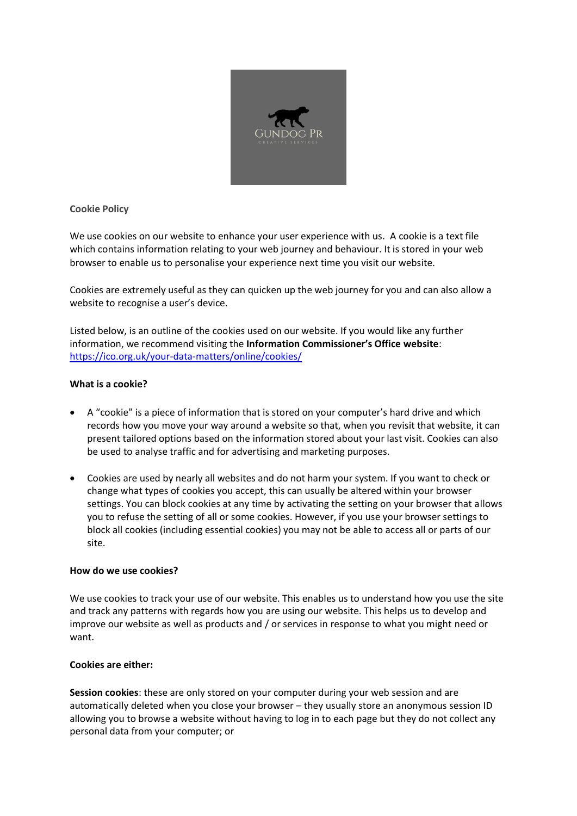

**Cookie Policy**

We use cookies on our website to enhance your user experience with us. A cookie is a text file which contains information relating to your web journey and behaviour. It is stored in your web browser to enable us to personalise your experience next time you visit our website.

Cookies are extremely useful as they can quicken up the web journey for you and can also allow a website to recognise a user's device.

Listed below, is an outline of the cookies used on our website. If you would like any further information, we recommend visiting the **Information Commissioner's Office [website](https://ico.org.uk/for-the-public/online/cookies/)**: <https://ico.org.uk/your-data-matters/online/cookies/>

# **What is a cookie?**

- A "cookie" is a piece of information that is stored on your computer's hard drive and which records how you move your way around a website so that, when you revisit that website, it can present tailored options based on the information stored about your last visit. Cookies can also be used to analyse traffic and for advertising and marketing purposes.
- Cookies are used by nearly all websites and do not harm your system. If you want to check or change what types of cookies you accept, this can usually be altered within your browser settings. You can block cookies at any time by activating the setting on your browser that allows you to refuse the setting of all or some cookies. However, if you use your browser settings to block all cookies (including essential cookies) you may not be able to access all or parts of our site.

# **How do we use cookies?**

We use cookies to track your use of our website. This enables us to understand how you use the site and track any patterns with regards how you are using our website. This helps us to develop and improve our website as well as products and / or services in response to what you might need or want.

# **Cookies are either:**

**Session cookies**: these are only stored on your computer during your web session and are automatically deleted when you close your browser – they usually store an anonymous session ID allowing you to browse a website without having to log in to each page but they do not collect any personal data from your computer; or